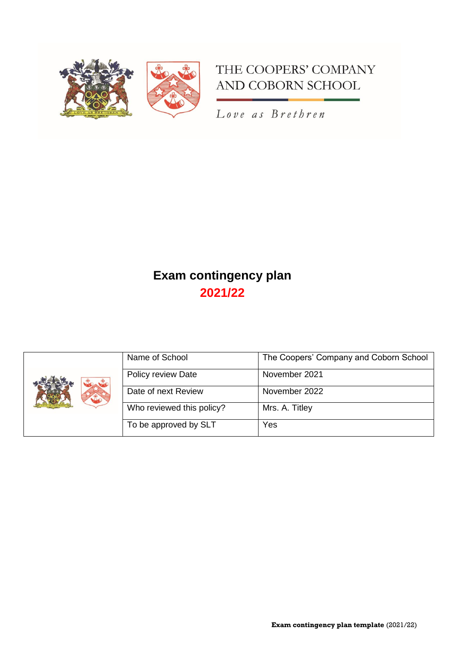

# THE COOPERS' COMPANY AND COBORN SCHOOL

Love as Brethren

# **Exam contingency plan 2021/22**

|       | Name of School            | The Coopers' Company and Coborn School |
|-------|---------------------------|----------------------------------------|
| to to | Policy review Date        | November 2021                          |
|       | Date of next Review       | November 2022                          |
|       | Who reviewed this policy? | Mrs. A. Titley                         |
|       | To be approved by SLT     | Yes                                    |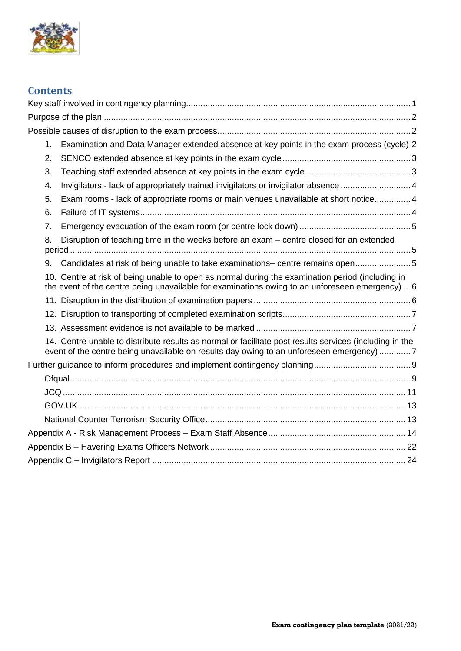

## **Contents**

| 1. | Examination and Data Manager extended absence at key points in the exam process (cycle) 2                                                                                                           |  |
|----|-----------------------------------------------------------------------------------------------------------------------------------------------------------------------------------------------------|--|
| 2. |                                                                                                                                                                                                     |  |
| 3. |                                                                                                                                                                                                     |  |
| 4. | Invigilators - lack of appropriately trained invigilators or invigilator absence 4                                                                                                                  |  |
| 5. | Exam rooms - lack of appropriate rooms or main venues unavailable at short notice 4                                                                                                                 |  |
| 6. |                                                                                                                                                                                                     |  |
| 7. |                                                                                                                                                                                                     |  |
| 8. | Disruption of teaching time in the weeks before an exam – centre closed for an extended                                                                                                             |  |
| 9. | Candidates at risk of being unable to take examinations- centre remains open 5                                                                                                                      |  |
|    | 10. Centre at risk of being unable to open as normal during the examination period (including in<br>the event of the centre being unavailable for examinations owing to an unforeseen emergency)  6 |  |
|    |                                                                                                                                                                                                     |  |
|    |                                                                                                                                                                                                     |  |
|    |                                                                                                                                                                                                     |  |
|    | 14. Centre unable to distribute results as normal or facilitate post results services (including in the<br>event of the centre being unavailable on results day owing to an unforeseen emergency) 7 |  |
|    |                                                                                                                                                                                                     |  |
|    |                                                                                                                                                                                                     |  |
|    |                                                                                                                                                                                                     |  |
|    |                                                                                                                                                                                                     |  |
|    |                                                                                                                                                                                                     |  |
|    |                                                                                                                                                                                                     |  |
|    |                                                                                                                                                                                                     |  |
|    |                                                                                                                                                                                                     |  |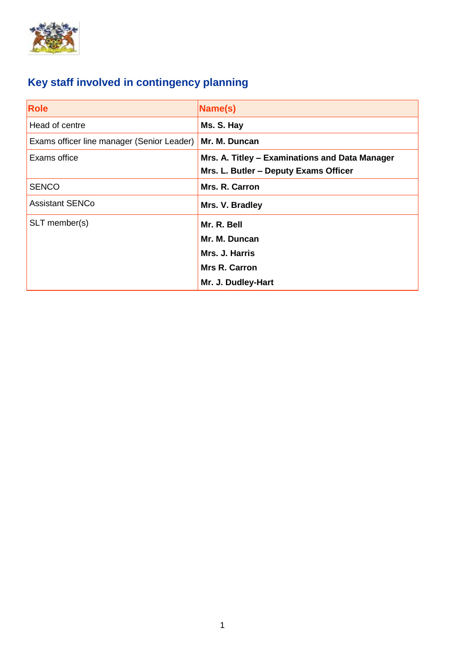

# <span id="page-2-0"></span>**Key staff involved in contingency planning**

| <b>Role</b>                                | Name(s)                                                                                 |
|--------------------------------------------|-----------------------------------------------------------------------------------------|
| Head of centre                             | Ms. S. Hay                                                                              |
| Exams officer line manager (Senior Leader) | Mr. M. Duncan                                                                           |
| Exams office                               | Mrs. A. Titley - Examinations and Data Manager<br>Mrs. L. Butler - Deputy Exams Officer |
| <b>SENCO</b>                               | Mrs. R. Carron                                                                          |
| <b>Assistant SENCo</b>                     | Mrs. V. Bradley                                                                         |
| SLT member(s)                              | Mr. R. Bell                                                                             |
|                                            | Mr. M. Duncan                                                                           |
|                                            | Mrs. J. Harris                                                                          |
|                                            | <b>Mrs R. Carron</b>                                                                    |
|                                            | Mr. J. Dudley-Hart                                                                      |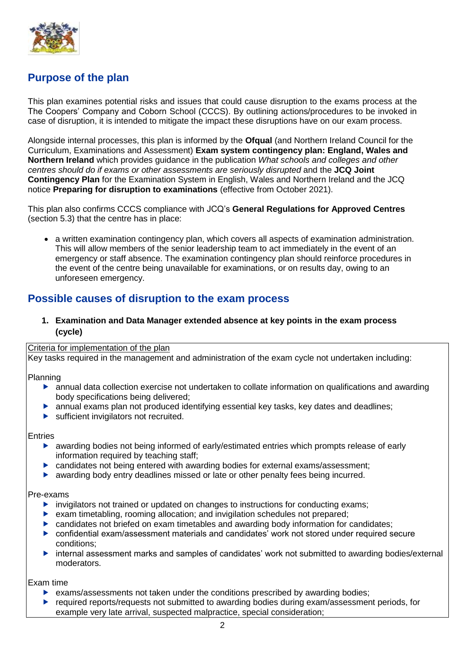

## <span id="page-3-0"></span>**Purpose of the plan**

This plan examines potential risks and issues that could cause disruption to the exams process at the The Coopers' Company and Coborn School (CCCS). By outlining actions/procedures to be invoked in case of disruption, it is intended to mitigate the impact these disruptions have on our exam process.

Alongside internal processes, this plan is informed by the **Ofqual** (and Northern Ireland Council for the Curriculum, Examinations and Assessment) **Exam system contingency plan: England, Wales and Northern Ireland** which provides guidance in the publication *What schools and colleges and other centres should do if exams or other assessments are seriously disrupted* and the **JCQ Joint Contingency Plan** for the Examination System in English, Wales and Northern Ireland and the JCQ notice **Preparing for disruption to examinations** (effective from October 2021).

This plan also confirms CCCS compliance with JCQ's **General Regulations for Approved Centres** (section 5.3) that the centre has in place:

• a written examination contingency plan, which covers all aspects of examination administration. This will allow members of the senior leadership team to act immediately in the event of an emergency or staff absence. The examination contingency plan should reinforce procedures in the event of the centre being unavailable for examinations, or on results day, owing to an unforeseen emergency.

## <span id="page-3-1"></span>**Possible causes of disruption to the exam process**

## <span id="page-3-2"></span>**1. Examination and Data Manager extended absence at key points in the exam process (cycle)**

### Criteria for implementation of the plan

Key tasks required in the management and administration of the exam cycle not undertaken including:

## Planning

- annual data collection exercise not undertaken to collate information on qualifications and awarding body specifications being delivered;
- annual exams plan not produced identifying essential key tasks, key dates and deadlines;
- sufficient invigilators not recruited.

#### Entries

- awarding bodies not being informed of early/estimated entries which prompts release of early information required by teaching staff;
- candidates not being entered with awarding bodies for external exams/assessment;
- awarding body entry deadlines missed or late or other penalty fees being incurred.

## Pre-exams

- $\blacktriangleright$  invigilators not trained or updated on changes to instructions for conducting exams;
- exam timetabling, rooming allocation; and invigilation schedules not prepared;
- candidates not briefed on exam timetables and awarding body information for candidates;
- confidential exam/assessment materials and candidates' work not stored under required secure conditions;
- internal assessment marks and samples of candidates' work not submitted to awarding bodies/external moderators.

Exam time

- $\triangleright$  exams/assessments not taken under the conditions prescribed by awarding bodies;
- ▶ required reports/requests not submitted to awarding bodies during exam/assessment periods, for example very late arrival, suspected malpractice, special consideration;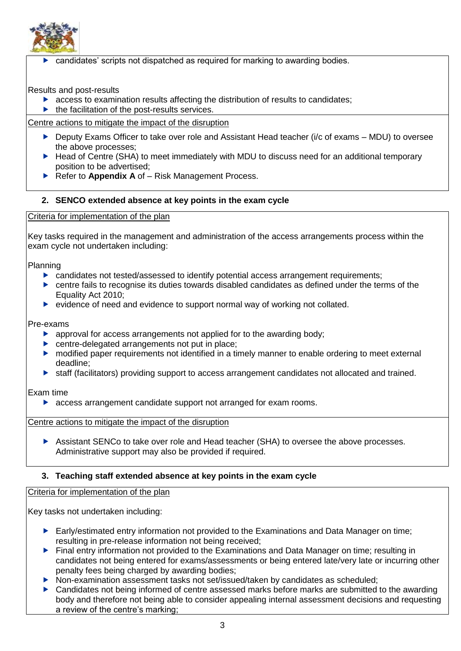

candidates' scripts not dispatched as required for marking to awarding bodies.

## Results and post-results

- $\triangleright$  access to examination results affecting the distribution of results to candidates;
- $\blacktriangleright$  the facilitation of the post-results services.

Centre actions to mitigate the impact of the disruption

- Deputy Exams Officer to take over role and Assistant Head teacher ( $i/c$  of exams MDU) to oversee the above processes;
- ▶ Head of Centre (SHA) to meet immediately with MDU to discuss need for an additional temporary position to be advertised;
- ▶ Refer to **Appendix A** of Risk Management Process.

## <span id="page-4-0"></span>**2. SENCO extended absence at key points in the exam cycle**

## Criteria for implementation of the plan

Key tasks required in the management and administration of the access arrangements process within the exam cycle not undertaken including:

## Planning

- $\triangleright$  candidates not tested/assessed to identify potential access arrangement requirements;
- centre fails to recognise its duties towards disabled candidates as defined under the terms of the Equality Act 2010;
- $\triangleright$  evidence of need and evidence to support normal way of working not collated.

### Pre-exams

- $\triangleright$  approval for access arrangements not applied for to the awarding body;
- **EX centre-delegated arrangements not put in place;**
- modified paper requirements not identified in a timely manner to enable ordering to meet external deadline;
- staff (facilitators) providing support to access arrangement candidates not allocated and trained.

## Exam time

**EXEC** access arrangement candidate support not arranged for exam rooms.

Centre actions to mitigate the impact of the disruption

 Assistant SENCo to take over role and Head teacher (SHA) to oversee the above processes. Administrative support may also be provided if required.

## <span id="page-4-1"></span>**3. Teaching staff extended absence at key points in the exam cycle**

## Criteria for implementation of the plan

Key tasks not undertaken including:

- ▶ Early/estimated entry information not provided to the Examinations and Data Manager on time; resulting in pre-release information not being received;
- ▶ Final entry information not provided to the Examinations and Data Manager on time; resulting in candidates not being entered for exams/assessments or being entered late/very late or incurring other penalty fees being charged by awarding bodies;
- ▶ Non-examination assessment tasks not set/issued/taken by candidates as scheduled;
- ▶ Candidates not being informed of centre assessed marks before marks are submitted to the awarding body and therefore not being able to consider appealing internal assessment decisions and requesting a review of the centre's marking;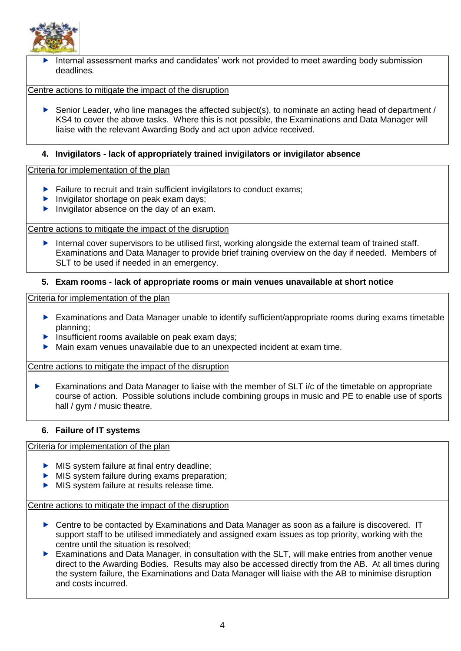

 Internal assessment marks and candidates' work not provided to meet awarding body submission deadlines*.*

Centre actions to mitigate the impact of the disruption

Senior Leader, who line manages the affected subject(s), to nominate an acting head of department / KS4 to cover the above tasks. Where this is not possible, the Examinations and Data Manager will liaise with the relevant Awarding Body and act upon advice received.

## <span id="page-5-0"></span>**4. Invigilators - lack of appropriately trained invigilators or invigilator absence**

## Criteria for implementation of the plan

- $\blacktriangleright$  Failure to recruit and train sufficient invigilators to conduct exams;
- Invigilator shortage on peak exam days;
- Invigilator absence on the day of an exam.

Centre actions to mitigate the impact of the disruption

Internal cover supervisors to be utilised first, working alongside the external team of trained staff. Examinations and Data Manager to provide brief training overview on the day if needed. Members of SLT to be used if needed in an emergency.

## <span id="page-5-1"></span>**5. Exam rooms - lack of appropriate rooms or main venues unavailable at short notice**

Criteria for implementation of the plan

- Examinations and Data Manager unable to identify sufficient/appropriate rooms during exams timetable planning;
- $\blacktriangleright$  Insufficient rooms available on peak exam days;
- Main exam venues unavailable due to an unexpected incident at exam time.

Centre actions to mitigate the impact of the disruption

Examinations and Data Manager to liaise with the member of SLT  $i/c$  of the timetable on appropriate course of action. Possible solutions include combining groups in music and PE to enable use of sports hall / gym / music theatre.

## <span id="page-5-2"></span>**6. Failure of IT systems**

## Criteria for implementation of the plan

- MIS system failure at final entry deadline;
- MIS system failure during exams preparation;
- MIS system failure at results release time.

Centre actions to mitigate the impact of the disruption

- ▶ Centre to be contacted by Examinations and Data Manager as soon as a failure is discovered. IT support staff to be utilised immediately and assigned exam issues as top priority, working with the centre until the situation is resolved;
- Examinations and Data Manager, in consultation with the SLT, will make entries from another venue direct to the Awarding Bodies. Results may also be accessed directly from the AB. At all times during the system failure, the Examinations and Data Manager will liaise with the AB to minimise disruption and costs incurred.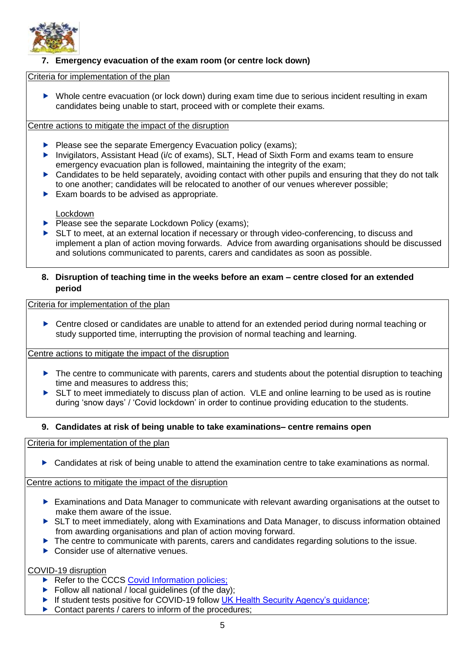

## <span id="page-6-0"></span>**7. Emergency evacuation of the exam room (or centre lock down)**

## Criteria for implementation of the plan

 Whole centre evacuation (or lock down) during exam time due to serious incident resulting in exam candidates being unable to start, proceed with or complete their exams*.*

## Centre actions to mitigate the impact of the disruption

- $\blacktriangleright$  Please see the separate Emergency Evacuation policy (exams);
- ▶ Invigilators, Assistant Head (i/c of exams), SLT, Head of Sixth Form and exams team to ensure emergency evacuation plan is followed, maintaining the integrity of the exam;
- ▶ Candidates to be held separately, avoiding contact with other pupils and ensuring that they do not talk to one another; candidates will be relocated to another of our venues wherever possible;
- $\blacktriangleright$  Exam boards to be advised as appropriate.

#### Lockdown

- Please see the separate Lockdown Policy (exams);
- ▶ SLT to meet, at an external location if necessary or through video-conferencing, to discuss and implement a plan of action moving forwards. Advice from awarding organisations should be discussed and solutions communicated to parents, carers and candidates as soon as possible.

## <span id="page-6-1"></span>**8. Disruption of teaching time in the weeks before an exam – centre closed for an extended period**

Criteria for implementation of the plan

▶ Centre closed or candidates are unable to attend for an extended period during normal teaching or study supported time, interrupting the provision of normal teaching and learning.

Centre actions to mitigate the impact of the disruption

- The centre to communicate with parents, carers and students about the potential disruption to teaching time and measures to address this;
- ▶ SLT to meet immediately to discuss plan of action. VLE and online learning to be used as is routine during 'snow days' / 'Covid lockdown' in order to continue providing education to the students.

## <span id="page-6-2"></span>**9. Candidates at risk of being unable to take examinations– centre remains open**

Criteria for implementation of the plan

Candidates at risk of being unable to attend the examination centre to take examinations as normal.

#### Centre actions to mitigate the impact of the disruption

- Examinations and Data Manager to communicate with relevant awarding organisations at the outset to make them aware of the issue.
- ▶ SLT to meet immediately, along with Examinations and Data Manager, to discuss information obtained from awarding organisations and plan of action moving forward.
- ▶ The centre to communicate with parents, carers and candidates regarding solutions to the issue.
- ▶ Consider use of alternative venues.

## COVID-19 disruption

- $\triangleright$  Refer to the CCCS [Covid Information policies;](https://www.cooperscoborn.org.uk/covid-information/)
- $\blacktriangleright$  Follow all national / local quidelines (of the day);
- ▶ If student tests positive for COVID-19 follow UK Health Security Agency's quidance;
- ▶ Contact parents / carers to inform of the procedures;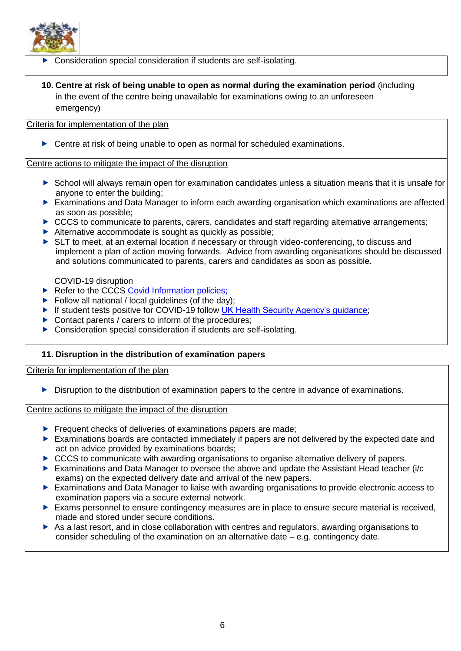

- Consideration special consideration if students are self-isolating.
- <span id="page-7-0"></span>**10. Centre at risk of being unable to open as normal during the examination period** (including in the event of the centre being unavailable for examinations owing to an unforeseen emergency)

## Criteria for implementation of the plan

▶ Centre at risk of being unable to open as normal for scheduled examinations.

### Centre actions to mitigate the impact of the disruption

- School will always remain open for examination candidates unless a situation means that it is unsafe for anyone to enter the building;
- Examinations and Data Manager to inform each awarding organisation which examinations are affected as soon as possible;
- CCCS to communicate to parents, carers, candidates and staff regarding alternative arrangements;
- Alternative accommodate is sought as quickly as possible:
- ▶ SLT to meet, at an external location if necessary or through video-conferencing, to discuss and implement a plan of action moving forwards. Advice from awarding organisations should be discussed and solutions communicated to parents, carers and candidates as soon as possible.

COVID-19 disruption

- Refer to the CCCS [Covid Information policies;](https://www.cooperscoborn.org.uk/covid-information/)
- Follow all national / local guidelines (of the day);
- ▶ If student tests positive for COVID-19 follow [UK Health Security Agency's guidance;](https://www.gov.uk/guidance/people-with-symptoms-of-a-respiratory-infection-including-covid-19)
- $\triangleright$  Contact parents / carers to inform of the procedures:
- ▶ Consideration special consideration if students are self-isolating.

## <span id="page-7-1"></span>**11. Disruption in the distribution of examination papers**

Criteria for implementation of the plan

Disruption to the distribution of examination papers to the centre in advance of examinations.

Centre actions to mitigate the impact of the disruption

- $\blacktriangleright$  Frequent checks of deliveries of examinations papers are made:
- Examinations boards are contacted immediately if papers are not delivered by the expected date and act on advice provided by examinations boards;
- ▶ CCCS to communicate with awarding organisations to organise alternative delivery of papers.
- Examinations and Data Manager to oversee the above and update the Assistant Head teacher (i/c exams) on the expected delivery date and arrival of the new papers.
- Examinations and Data Manager to liaise with awarding organisations to provide electronic access to examination papers via a secure external network.
- $\triangleright$  Exams personnel to ensure contingency measures are in place to ensure secure material is received. made and stored under secure conditions.
- As a last resort, and in close collaboration with centres and regulators, awarding organisations to consider scheduling of the examination on an alternative date – e.g. contingency date.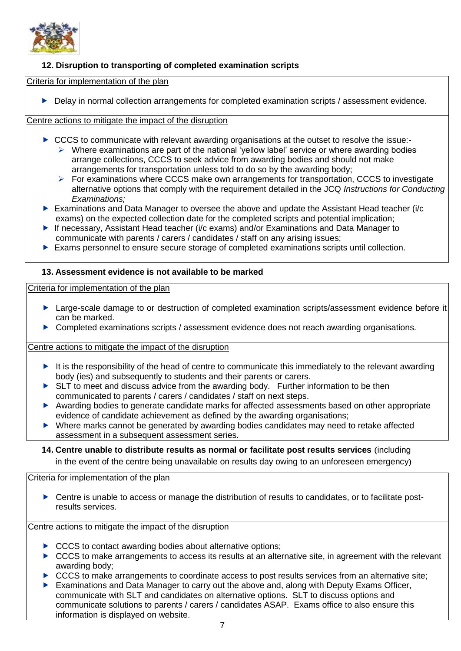

## <span id="page-8-0"></span>**12. Disruption to transporting of completed examination scripts**

Criteria for implementation of the plan

Delay in normal collection arrangements for completed examination scripts / assessment evidence.

Centre actions to mitigate the impact of the disruption

- ▶ CCCS to communicate with relevant awarding organisations at the outset to resolve the issue:-
	- $\triangleright$  Where examinations are part of the national 'yellow label' service or where awarding bodies arrange collections, CCCS to seek advice from awarding bodies and should not make arrangements for transportation unless told to do so by the awarding body;
	- ➢ For examinations where CCCS make own arrangements for transportation, CCCS to investigate alternative options that comply with the requirement detailed in the JCQ *Instructions for Conducting Examinations;*
- Examinations and Data Manager to oversee the above and update the Assistant Head teacher (i/c exams) on the expected collection date for the completed scripts and potential implication;
- ▶ If necessary, Assistant Head teacher (i/c exams) and/or Examinations and Data Manager to communicate with parents / carers / candidates / staff on any arising issues;
- Exams personnel to ensure secure storage of completed examinations scripts until collection.

## <span id="page-8-1"></span>**13. Assessment evidence is not available to be marked**

Criteria for implementation of the plan

- ▶ Large-scale damage to or destruction of completed examination scripts/assessment evidence before it can be marked.
- **Completed examinations scripts / assessment evidence does not reach awarding organisations.**

Centre actions to mitigate the impact of the disruption

- It is the responsibility of the head of centre to communicate this immediately to the relevant awarding body (ies) and subsequently to students and their parents or carers.
- ▶ SLT to meet and discuss advice from the awarding body. Further information to be then communicated to parents / carers / candidates / staff on next steps.
- Awarding bodies to generate candidate marks for affected assessments based on other appropriate evidence of candidate achievement as defined by the awarding organisations;
- Where marks cannot be generated by awarding bodies candidates may need to retake affected assessment in a subsequent assessment series.
- <span id="page-8-2"></span>**14. Centre unable to distribute results as normal or facilitate post results services** (including in the event of the centre being unavailable on results day owing to an unforeseen emergency)

Criteria for implementation of the plan

 Centre is unable to access or manage the distribution of results to candidates, or to facilitate postresults services.

Centre actions to mitigate the impact of the disruption

- ▶ CCCS to contact awarding bodies about alternative options:
- $\triangleright$  CCCS to make arrangements to access its results at an alternative site, in agreement with the relevant awarding body;
- CCCS to make arrangements to coordinate access to post results services from an alternative site;
- Examinations and Data Manager to carry out the above and, along with Deputy Exams Officer, communicate with SLT and candidates on alternative options. SLT to discuss options and communicate solutions to parents / carers / candidates ASAP. Exams office to also ensure this information is displayed on website.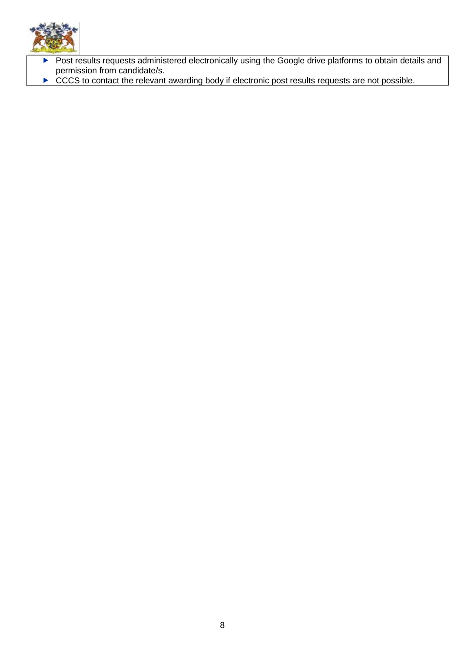

- Post results requests administered electronically using the Google drive platforms to obtain details and permission from candidate/s.
- ► CCCS to contact the relevant awarding body if electronic post results requests are not possible.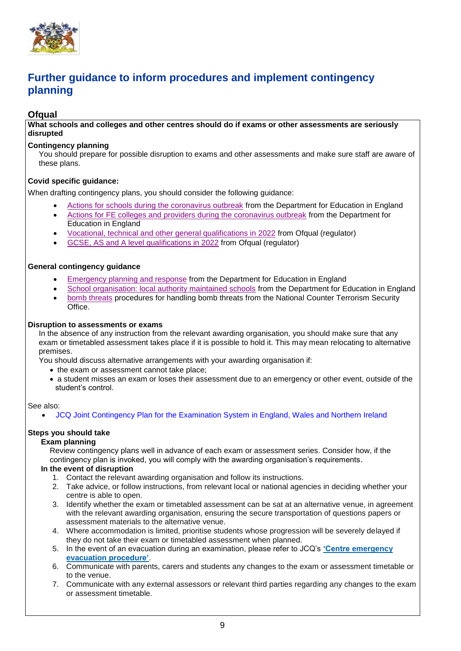

## <span id="page-10-0"></span>**Further guidance to inform procedures and implement contingency planning**

## <span id="page-10-1"></span>**Ofqual**

**What schools and colleges and other centres should do if exams or other assessments are seriously disrupted**

#### **Contingency planning**

You should prepare for possible disruption to exams and other assessments and make sure staff are aware of these plans.

## **Covid specific guidance:**

When drafting contingency plans, you should consider the following guidance:

- [Actions for schools during the coronavirus outbreak](https://www.gov.uk/government/publications/actions-for-schools-during-the-coronavirus-outbreak) from the Department for Education in England
- [Actions for FE colleges and providers during the coronavirus outbreak](https://www.gov.uk/government/publications/coronavirus-covid-19-maintaining-further-education-provision) from the Department for Education in England
- [Vocational, technical and other general qualifications in 2022](https://www.gov.uk/government/collections/vocational-technical-and-other-general-qualifications-in-2022) from Ofqual (regulator)
- [GCSE, AS and A level qualifications in 2022](https://www.gov.uk/government/collections/gcse-as-and-a-level-qualifications-in-2022) from Ofqual (regulator)

## **General contingency guidance**

- [Emergency planning and response](https://www.gov.uk/guidance/emergencies-and-severe-weather-schools-and-early-years-settings) from the Department for Education in England
- [School organisation: local authority maintained schools](https://www.gov.uk/government/publications/school-organisation-maintained-schools) from the Department for Education in England
- [bomb threats](https://www.gov.uk/government/publications/crowded-places-guidance/bomb-threats) procedures for handling bomb threats from the National Counter Terrorism Security **Office**

#### **Disruption to assessments or exams**

In the absence of any instruction from the relevant awarding organisation, you should make sure that any exam or timetabled assessment takes place if it is possible to hold it. This may mean relocating to alternative premises.

You should discuss alternative arrangements with your awarding organisation if:

- the exam or assessment cannot take place;
- a student misses an exam or loses their assessment due to an emergency or other event, outside of the student's control.

#### See also:

• JCQ Joint [Contingency](https://www.jcq.org.uk/exams-office/other-documents/jcq-joint-contingency-plan/) Plan for the Examination System in England, Wales and Northern Ireland

#### **Steps you should take**

#### **Exam planning**

Review contingency plans well in advance of each exam or assessment series. Consider how, if the contingency plan is invoked, you will comply with the awarding organisation's requirements.

### **In the event of disruption**

- 1. Contact the relevant awarding organisation and follow its instructions.
- 2. Take advice, or follow instructions, from relevant local or national agencies in deciding whether your centre is able to open.
- 3. Identify whether the exam or timetabled assessment can be sat at an alternative venue, in agreement with the relevant awarding organisation, ensuring the secure transportation of questions papers or assessment materials to the alternative venue.
- 4. Where accommodation is limited, prioritise students whose progression will be severely delayed if they do not take their exam or timetabled assessment when planned.
- 5. In the event of an evacuation during an examination, please refer to JCQ's **'Centre [emergency](https://www.jcq.org.uk/exams-office/ice---instructions-for-conducting-examinations/centre-emergency-evacuation-procedure) [evacuation](https://www.jcq.org.uk/exams-office/ice---instructions-for-conducting-examinations/centre-emergency-evacuation-procedure) procedure'**.
- 6. Communicate with parents, carers and students any changes to the exam or assessment timetable or to the venue.
- 7. Communicate with any external assessors or relevant third parties regarding any changes to the exam or assessment timetable.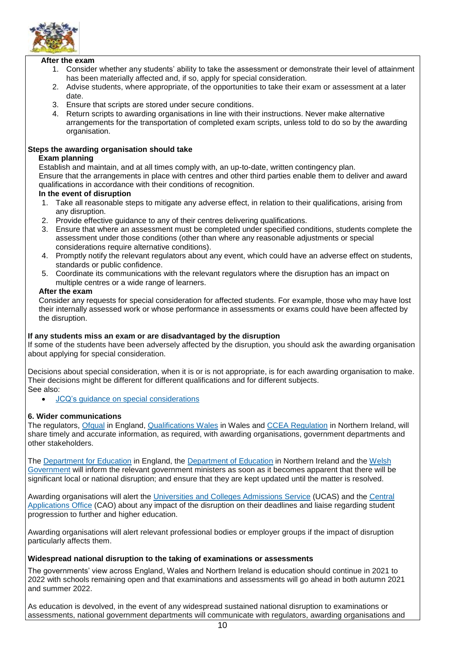

#### **After the exam**

- 1. Consider whether any students' ability to take the assessment or demonstrate their level of attainment has been materially affected and, if so, apply for special consideration.
- 2. Advise students, where appropriate, of the opportunities to take their exam or assessment at a later date.
- 3. Ensure that scripts are stored under secure conditions.
- 4. Return scripts to awarding organisations in line with their instructions. Never make alternative arrangements for the transportation of completed exam scripts, unless told to do so by the awarding organisation.

#### **Steps the awarding organisation should take**

#### **Exam planning**

Establish and maintain, and at all times comply with, an up-to-date, written contingency plan. Ensure that the arrangements in place with centres and other third parties enable them to deliver and award qualifications in accordance with their conditions of recognition.

#### **In the event of disruption**

- 1. Take all reasonable steps to mitigate any adverse effect, in relation to their qualifications, arising from any disruption.
- 2. Provide effective guidance to any of their centres delivering qualifications.
- 3. Ensure that where an assessment must be completed under specified conditions, students complete the assessment under those conditions (other than where any reasonable adjustments or special considerations require alternative conditions).
- 4. Promptly notify the relevant regulators about any event, which could have an adverse effect on students, standards or public confidence.
- 5. Coordinate its communications with the relevant regulators where the disruption has an impact on multiple centres or a wide range of learners.

#### **After the exam**

Consider any requests for special consideration for affected students. For example, those who may have lost their internally assessed work or whose performance in assessments or exams could have been affected by the disruption.

#### **If any students miss an exam or are disadvantaged by the disruption**

If some of the students have been adversely affected by the disruption, you should ask the awarding organisation about applying for special consideration.

Decisions about special consideration, when it is or is not appropriate, is for each awarding organisation to make. Their decisions might be different for different qualifications and for different subjects. See also:

• JCQ's guidance on special [considerations](https://www.jcq.org.uk/exams-office/access-arrangements-and-special-consideration/regulations-and-guidance)

#### **6. Wider communications**

The regulators, [Ofqual](https://www.gov.uk/ofqual) in England, [Qualifications](http://qualificationswales.org/) Wales in Wales and [CCEA](http://ccea.org.uk/) Regulation in Northern Ireland, will share timely and accurate information, as required, with awarding organisations, government departments and other stakeholders.

The [Department](https://www.gov.uk/government/organisations/department-for-education) for Education in England, the [Department](https://www.education-ni.gov.uk/) of Education in Northern Ireland and the [Welsh](http://gov.wales/topics/educationandskills/?lang=en) [Government](http://gov.wales/topics/educationandskills/?lang=en) will inform the relevant government ministers as soon as it becomes apparent that there will be significant local or national disruption; and ensure that they are kept updated until the matter is resolved.

Awarding organisations will alert the [Universities](https://www.ucas.com/) and Colleges Admissions Service (UCAS) and the [Central](http://www.cao.ie/) [Applications](http://www.cao.ie/) Office (CAO) about any impact of the disruption on their deadlines and liaise regarding student progression to further and higher education.

Awarding organisations will alert relevant professional bodies or employer groups if the impact of disruption particularly affects them.

#### **Widespread national disruption to the taking of examinations or assessments**

The governments' view across England, Wales and Northern Ireland is education should continue in 2021 to 2022 with schools remaining open and that examinations and assessments will go ahead in both autumn 2021 and summer 2022.

As education is devolved, in the event of any widespread sustained national disruption to examinations or assessments, national government departments will communicate with regulators, awarding organisations and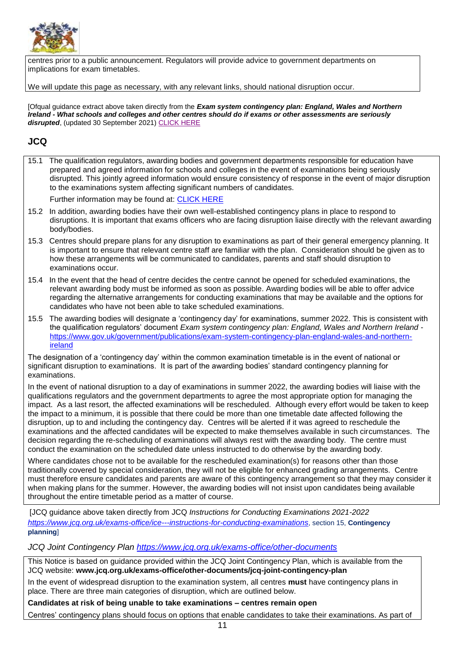

centres prior to a public announcement. Regulators will provide advice to government departments on implications for exam timetables.

We will update this page as necessary, with any relevant links, should national disruption occur.

[Ofqual quidance extract above taken directly from the *Exam system contingency plan: England, Wales and Northern Ireland - What schools and colleges and other centres should do if exams or other assessments are seriously disrupted*, (updated 30 September 2021[\) CLICK HERE](https://www.gov.uk/government/publications/exam-system-contingency-plan-england-wales-and-northern-ireland/what-schools-and-colleges-should-do-if-exams-or-other-assessments-are-seriously-disrupted) 

## <span id="page-12-0"></span>**JCQ**

15.1 The qualification regulators, awarding bodies and government departments responsible for education have prepared and agreed information for schools and colleges in the event of examinations being seriously disrupted. This jointly agreed information would ensure consistency of response in the event of major disruption to the examinations system affecting significant numbers of candidates.

Further information may be found at: [CLICK HERE](https://www.gov.uk/government/publications/exam-system-contingency-plan-england-wales-and-northern-ireland/what-schools-and-colleges-should-do-if-exams-or-other-assessments-are-seriously-disrupted)

- 15.2 In addition, awarding bodies have their own well-established contingency plans in place to respond to disruptions. It is important that exams officers who are facing disruption liaise directly with the relevant awarding body/bodies.
- 15.3 Centres should prepare plans for any disruption to examinations as part of their general emergency planning. It is important to ensure that relevant centre staff are familiar with the plan. Consideration should be given as to how these arrangements will be communicated to candidates, parents and staff should disruption to examinations occur.
- 15.4 In the event that the head of centre decides the centre cannot be opened for scheduled examinations, the relevant awarding body must be informed as soon as possible. Awarding bodies will be able to offer advice regarding the alternative arrangements for conducting examinations that may be available and the options for candidates who have not been able to take scheduled examinations.
- 15.5 The awarding bodies will designate a 'contingency day' for examinations, summer 2022. This is consistent with the qualification regulators' document *Exam system contingency plan: England, Wales and Northern Ireland* [https://www.gov.uk/government/publications/exam-system-contingency-plan-england-wales-and-northern](https://www.gov.uk/government/publications/exam-system-contingency-plan-england-wales-and-northern-ireland)[ireland](https://www.gov.uk/government/publications/exam-system-contingency-plan-england-wales-and-northern-ireland)

The designation of a 'contingency day' within the common examination timetable is in the event of national or significant disruption to examinations. It is part of the awarding bodies' standard contingency planning for examinations.

In the event of national disruption to a day of examinations in summer 2022, the awarding bodies will liaise with the qualifications regulators and the government departments to agree the most appropriate option for managing the impact. As a last resort, the affected examinations will be rescheduled. Although every effort would be taken to keep the impact to a minimum, it is possible that there could be more than one timetable date affected following the disruption, up to and including the contingency day. Centres will be alerted if it was agreed to reschedule the examinations and the affected candidates will be expected to make themselves available in such circumstances. The decision regarding the re-scheduling of examinations will always rest with the awarding body. The centre must conduct the examination on the scheduled date unless instructed to do otherwise by the awarding body.

Where candidates chose not to be available for the rescheduled examination(s) for reasons other than those traditionally covered by special consideration, they will not be eligible for enhanced grading arrangements. Centre must therefore ensure candidates and parents are aware of this contingency arrangement so that they may consider it when making plans for the summer. However, the awarding bodies will not insist upon candidates being available throughout the entire timetable period as a matter of course.

[JCQ guidance above taken directly from JCQ *Instructions for Conducting Examinations 2021-2022 <https://www.jcq.org.uk/exams-office/ice---instructions-for-conducting-examinations>*, section 15, **Contingency planning**]

#### *JCQ Joint Contingency Plan<https://www.jcq.org.uk/exams-office/other-documents>*

This Notice is based on guidance provided within the JCQ Joint Contingency Plan, which is available from the JCQ website: **[www.jcq.org.uk/exams-office/other-documents/jcq-joint-contingency-plan](https://www.jcq.org.uk/exams-office/other-documents/jcq-joint-contingency-plan)**

In the event of widespread disruption to the examination system, all centres **must** have contingency plans in place. There are three main categories of disruption, which are outlined below.

**Candidates at risk of being unable to take examinations – centres remain open**

Centres' contingency plans should focus on options that enable candidates to take their examinations. As part of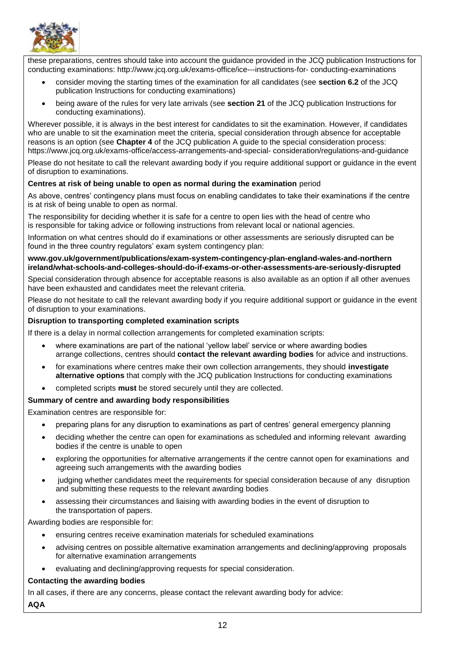

these preparations, centres should take into account the guidance provided in the JCQ publication Instructions for conducting examinations: http://www.jcq.org.uk/exams-office/ice---instructions-for- conducting-examinations

- consider moving the starting times of the examination for all candidates (see **section 6.2** of the JCQ publication Instructions for conducting examinations)
- being aware of the rules for very late arrivals (see **section 21** of the JCQ publication Instructions for conducting examinations).

Wherever possible, it is always in the best interest for candidates to sit the examination. However, if candidates who are unable to sit the examination meet the criteria, special consideration through absence for acceptable reasons is an option (see **Chapter 4** of the JCQ publication A guide to the special consideration process: https://www.jcq.org.uk/exams-office/access-arrangements-and-special- consideration/regulations-and-guidance

Please do not hesitate to call the relevant awarding body if you require additional support or guidance in the event of disruption to examinations.

#### **Centres at risk of being unable to open as normal during the examination** period

As above, centres' contingency plans must focus on enabling candidates to take their examinations if the centre is at risk of being unable to open as normal.

The responsibility for deciding whether it is safe for a centre to open lies with the head of centre who is responsible for taking advice or following instructions from relevant local or national agencies.

Information on what centres should do if examinations or other assessments are seriously disrupted can be found in the three country regulators' exam system contingency plan:

**[www.gov.uk/government/publications/exam-system-contingency-plan-england-wales-and-northern](https://www.gov.uk/government/publications/exam-system-contingency-plan-england-wales-and-northern-ireland/what-schools-and-colleges-should-do-if-exams-or-other-assessments-are-seriously-disrupted)  [ireland/what-schools-and-colleges-should-do-if-exams-or-other-assessments-are-seriously-disrupted](https://www.gov.uk/government/publications/exam-system-contingency-plan-england-wales-and-northern-ireland/what-schools-and-colleges-should-do-if-exams-or-other-assessments-are-seriously-disrupted)**

Special consideration through absence for acceptable reasons is also available as an option if all other avenues have been exhausted and candidates meet the relevant criteria.

Please do not hesitate to call the relevant awarding body if you require additional support or guidance in the event of disruption to your examinations.

#### **Disruption to transporting completed examination scripts**

If there is a delay in normal collection arrangements for completed examination scripts:

- where examinations are part of the national 'yellow label' service or where awarding bodies arrange collections, centres should **contact the relevant awarding bodies** for advice and instructions.
- for examinations where centres make their own collection arrangements, they should **investigate alternative options** that comply with the JCQ publication Instructions for conducting examinations
- completed scripts **must** be stored securely until they are collected.

#### **Summary of centre and awarding body responsibilities**

Examination centres are responsible for:

- preparing plans for any disruption to examinations as part of centres' general emergency planning
- deciding whether the centre can open for examinations as scheduled and informing relevant awarding bodies if the centre is unable to open
- exploring the opportunities for alternative arrangements if the centre cannot open for examinations and agreeing such arrangements with the awarding bodies
- judging whether candidates meet the requirements for special consideration because of any disruption and submitting these requests to the relevant awarding bodies
- assessing their circumstances and liaising with awarding bodies in the event of disruption to the transportation of papers.

Awarding bodies are responsible for:

- ensuring centres receive examination materials for scheduled examinations
- advising centres on possible alternative examination arrangements and declining/approving proposals for alternative examination arrangements
- evaluating and declining/approving requests for special consideration.

#### **Contacting the awarding bodies**

In all cases, if there are any concerns, please contact the relevant awarding body for advice:

**AQA**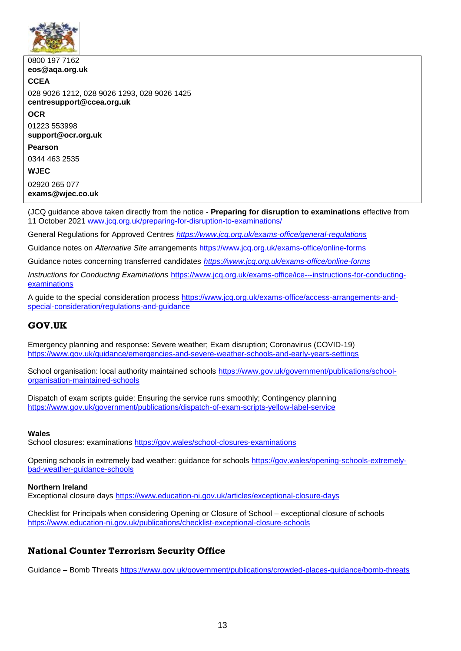

0800 197 7162 **[eos@aqa.org.uk](mailto:eos@aqa.org.uk) CCEA** 028 9026 1212, 028 9026 1293, 028 9026 1425 **[centresupport@ccea.org.uk](mailto:centresupport@ccea.org.uk) OCR** 01223 553998 **[support@ocr.org.uk](mailto:support@ocr.org.uk) Pearson** 0344 463 2535 **WJEC** 02920 265 077 **[exams@wjec.co.uk](mailto:exams@wjec.co.uk)**

(JCQ guidance above taken directly from the notice - **Preparing for disruption to examinations** effective from 11 October 2021 [www.jcq.org.uk/preparing-for-disruption-to-examinations/](http://www.jcq.org.uk/preparing-for-disruption-to-examinations/)

General Regulations for Approved Centres *<https://www.jcq.org.uk/exams-office/general-regulations>*

Guidance notes on *Alternative Site* arrangements <https://www.jcq.org.uk/exams-office/online-forms>

Guidance notes concerning transferred candidates *<https://www.jcq.org.uk/exams-office/online-forms>*

*Instructions for Conducting Examinations* [https://www.jcq.org.uk/exams-office/ice---instructions-for-conducting](https://www.jcq.org.uk/exams-office/ice---instructions-for-conducting-examinations)[examinations](https://www.jcq.org.uk/exams-office/ice---instructions-for-conducting-examinations)

A guide to the special consideration process [https://www.jcq.org.uk/exams-office/access-arrangements-and](https://www.jcq.org.uk/exams-office/access-arrangements-and-special-consideration/regulations-and-guidance)[special-consideration/regulations-and-guidance](https://www.jcq.org.uk/exams-office/access-arrangements-and-special-consideration/regulations-and-guidance)

## <span id="page-14-0"></span>**GOV.UK**

Emergency planning and response: Severe weather; Exam disruption; Coronavirus (COVID-19) <https://www.gov.uk/guidance/emergencies-and-severe-weather-schools-and-early-years-settings>

School organisation: local authority maintained schools [https://www.gov.uk/government/publications/school](https://www.gov.uk/government/publications/school-organisation-maintained-schools)[organisation-maintained-schools](https://www.gov.uk/government/publications/school-organisation-maintained-schools)

Dispatch of exam scripts guide: Ensuring the service runs smoothly; Contingency planning <https://www.gov.uk/government/publications/dispatch-of-exam-scripts-yellow-label-service>

#### **Wales**

School closures: examinations<https://gov.wales/school-closures-examinations>

Opening schools in extremely bad weather: guidance for schools [https://gov.wales/opening-schools-extremely](https://gov.wales/opening-schools-extremely-bad-weather-guidance-schools)[bad-weather-guidance-schools](https://gov.wales/opening-schools-extremely-bad-weather-guidance-schools)

#### **Northern Ireland**

Exceptional closure days<https://www.education-ni.gov.uk/articles/exceptional-closure-days>

Checklist for Principals when considering Opening or Closure of School – exceptional closure of schools <https://www.education-ni.gov.uk/publications/checklist-exceptional-closure-schools>

## <span id="page-14-1"></span>**National Counter Terrorism Security Office**

Guidance – Bomb Threats<https://www.gov.uk/government/publications/crowded-places-guidance/bomb-threats>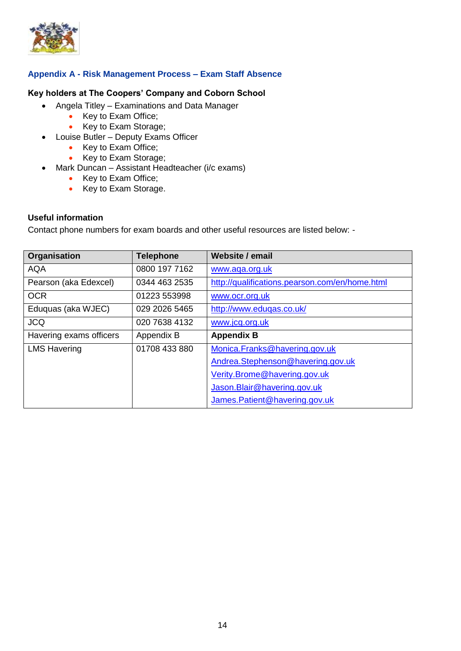

## <span id="page-15-0"></span>**Appendix A - Risk Management Process – Exam Staff Absence**

## **Key holders at The Coopers' Company and Coborn School**

- Angela Titley Examinations and Data Manager
	- Key to Exam Office;
	- Key to Exam Storage;
- Louise Butler Deputy Exams Officer
	- Key to Exam Office;
	- Key to Exam Storage;
- Mark Duncan Assistant Headteacher (i/c exams)
	- Key to Exam Office;
	- Key to Exam Storage.

## **Useful information**

Contact phone numbers for exam boards and other useful resources are listed below: -

| Organisation            | <b>Telephone</b> | <b>Website / email</b>                         |
|-------------------------|------------------|------------------------------------------------|
| <b>AQA</b>              | 0800 197 7162    | www.aqa.org.uk                                 |
| Pearson (aka Edexcel)   | 0344 463 2535    | http://qualifications.pearson.com/en/home.html |
| <b>OCR</b>              | 01223 553998     | www.ocr.org.uk                                 |
| Eduquas (aka WJEC)      | 029 2026 5465    | http://www.eduqas.co.uk/                       |
| <b>JCQ</b>              | 020 7638 4132    | www.jcq.org.uk                                 |
| Havering exams officers | Appendix B       | <b>Appendix B</b>                              |
| <b>LMS Havering</b>     | 01708 433 880    | Monica.Franks@havering.gov.uk                  |
|                         |                  | Andrea.Stephenson@havering.gov.uk              |
|                         |                  | Verity.Brome@havering.gov.uk                   |
|                         |                  | Jason. Blair@havering.gov.uk                   |
|                         |                  | James.Patient@havering.gov.uk                  |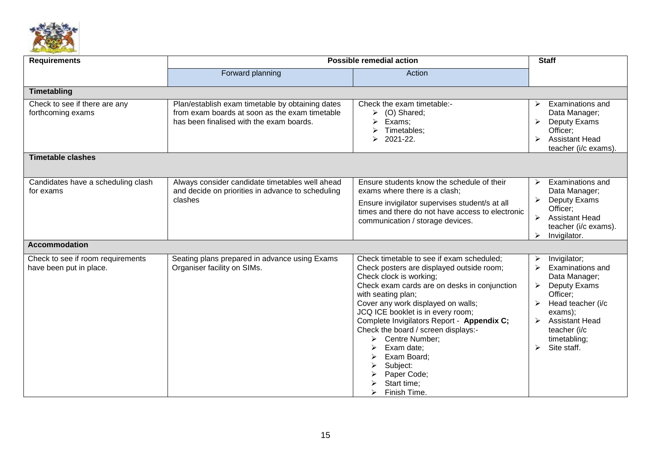

| <b>Requirements</b>                                                            | <b>Possible remedial action</b>                                                                                                                |                                                                                                                                                                                                                                                                                                                                                                                                                                                                       | <b>Staff</b>                                                                                                                                                                                                                                                                                   |  |
|--------------------------------------------------------------------------------|------------------------------------------------------------------------------------------------------------------------------------------------|-----------------------------------------------------------------------------------------------------------------------------------------------------------------------------------------------------------------------------------------------------------------------------------------------------------------------------------------------------------------------------------------------------------------------------------------------------------------------|------------------------------------------------------------------------------------------------------------------------------------------------------------------------------------------------------------------------------------------------------------------------------------------------|--|
|                                                                                | Forward planning                                                                                                                               | Action                                                                                                                                                                                                                                                                                                                                                                                                                                                                |                                                                                                                                                                                                                                                                                                |  |
| Timetabling                                                                    |                                                                                                                                                |                                                                                                                                                                                                                                                                                                                                                                                                                                                                       |                                                                                                                                                                                                                                                                                                |  |
| Check to see if there are any<br>forthcoming exams<br><b>Timetable clashes</b> | Plan/establish exam timetable by obtaining dates<br>from exam boards at soon as the exam timetable<br>has been finalised with the exam boards. | Check the exam timetable:-<br>(O) Shared;<br>➤<br>$\blacktriangleright$<br>Exams;<br>➤<br>Timetables;<br>2021-22.<br>➤                                                                                                                                                                                                                                                                                                                                                | <b>Examinations and</b><br>≻<br>Data Manager;<br>Deputy Exams<br>➤<br>Officer:<br><b>Assistant Head</b><br>$\blacktriangleright$<br>teacher (i/c exams).                                                                                                                                       |  |
| Candidates have a scheduling clash<br>for exams                                | Always consider candidate timetables well ahead<br>and decide on priorities in advance to scheduling<br>clashes                                | Ensure students know the schedule of their<br>exams where there is a clash;<br>Ensure invigilator supervises student/s at all<br>times and there do not have access to electronic<br>communication / storage devices.                                                                                                                                                                                                                                                 | Examinations and<br>➤<br>Data Manager;<br>Deputy Exams<br>Officer;<br>$\blacktriangleright$<br><b>Assistant Head</b><br>teacher (i/c exams).<br>$\triangleright$<br>Invigilator.                                                                                                               |  |
| <b>Accommodation</b>                                                           |                                                                                                                                                |                                                                                                                                                                                                                                                                                                                                                                                                                                                                       |                                                                                                                                                                                                                                                                                                |  |
| Check to see if room requirements<br>have been put in place.                   | Seating plans prepared in advance using Exams<br>Organiser facility on SIMs.                                                                   | Check timetable to see if exam scheduled;<br>Check posters are displayed outside room;<br>Check clock is working;<br>Check exam cards are on desks in conjunction<br>with seating plan;<br>Cover any work displayed on walls;<br>JCQ ICE booklet is in every room;<br>Complete Invigilators Report - Appendix C;<br>Check the board / screen displays:-<br>Centre Number;<br>➤<br>Exam date:<br>Exam Board;<br>Subject:<br>Paper Code;<br>Start time;<br>Finish Time. | Invigilator;<br>$\blacktriangleright$<br>$\triangleright$<br>Examinations and<br>Data Manager;<br>Deputy Exams<br>➤<br>Officer:<br>Head teacher (i/c<br>➤<br>exams);<br><b>Assistant Head</b><br>$\blacktriangleright$<br>teacher (i/c<br>timetabling;<br>Site staff.<br>$\blacktriangleright$ |  |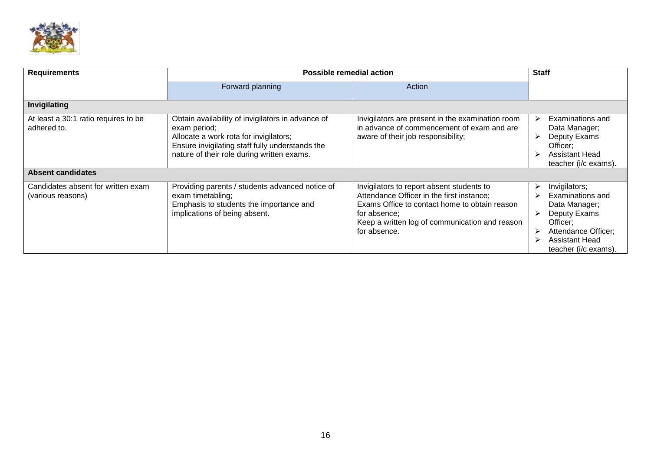

| <b>Requirements</b>                                     | <b>Possible remedial action</b>                                                                                                                                                                              | <b>Staff</b>                                                                                                                                                                                                              |                                                                                                                                                                       |
|---------------------------------------------------------|--------------------------------------------------------------------------------------------------------------------------------------------------------------------------------------------------------------|---------------------------------------------------------------------------------------------------------------------------------------------------------------------------------------------------------------------------|-----------------------------------------------------------------------------------------------------------------------------------------------------------------------|
|                                                         | Forward planning                                                                                                                                                                                             | Action                                                                                                                                                                                                                    |                                                                                                                                                                       |
| Invigilating                                            |                                                                                                                                                                                                              |                                                                                                                                                                                                                           |                                                                                                                                                                       |
| At least a 30:1 ratio requires to be<br>adhered to.     | Obtain availability of invigilators in advance of<br>exam period;<br>Allocate a work rota for invigilators;<br>Ensure invigilating staff fully understands the<br>nature of their role during written exams. | Invigilators are present in the examination room<br>in advance of commencement of exam and are<br>aware of their job responsibility;                                                                                      | Examinations and<br>Data Manager;<br>Deputy Exams<br>≻<br>Officer;<br><b>Assistant Head</b><br>teacher (i/c exams).                                                   |
| <b>Absent candidates</b>                                |                                                                                                                                                                                                              |                                                                                                                                                                                                                           |                                                                                                                                                                       |
| Candidates absent for written exam<br>(various reasons) | Providing parents / students advanced notice of<br>exam timetabling;<br>Emphasis to students the importance and<br>implications of being absent.                                                             | Invigilators to report absent students to<br>Attendance Officer in the first instance;<br>Exams Office to contact home to obtain reason<br>for absence;<br>Keep a written log of communication and reason<br>for absence. | Invigilators;<br>➤<br>Examinations and<br>Data Manager;<br>Deputy Exams<br>Officer;<br>Attendance Officer;<br>≻<br><b>Assistant Head</b><br>⋗<br>teacher (i/c exams). |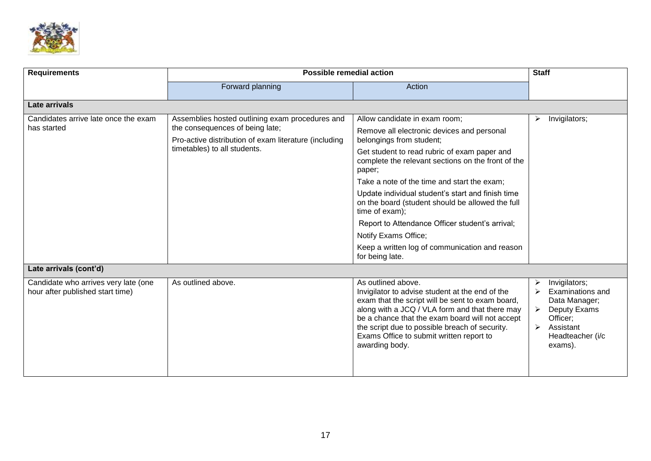

| <b>Requirements</b>                                                      | <b>Possible remedial action</b>                                                                                                                                             |                                                                                                                                                                                                                                                                                                                                                                                                                                                                                                                                                   | <b>Staff</b>                                                                                                                           |
|--------------------------------------------------------------------------|-----------------------------------------------------------------------------------------------------------------------------------------------------------------------------|---------------------------------------------------------------------------------------------------------------------------------------------------------------------------------------------------------------------------------------------------------------------------------------------------------------------------------------------------------------------------------------------------------------------------------------------------------------------------------------------------------------------------------------------------|----------------------------------------------------------------------------------------------------------------------------------------|
|                                                                          | Forward planning                                                                                                                                                            | Action                                                                                                                                                                                                                                                                                                                                                                                                                                                                                                                                            |                                                                                                                                        |
| Late arrivals                                                            |                                                                                                                                                                             |                                                                                                                                                                                                                                                                                                                                                                                                                                                                                                                                                   |                                                                                                                                        |
| Candidates arrive late once the exam<br>has started                      | Assemblies hosted outlining exam procedures and<br>the consequences of being late;<br>Pro-active distribution of exam literature (including<br>timetables) to all students. | Allow candidate in exam room;<br>Remove all electronic devices and personal<br>belongings from student;<br>Get student to read rubric of exam paper and<br>complete the relevant sections on the front of the<br>paper;<br>Take a note of the time and start the exam;<br>Update individual student's start and finish time<br>on the board (student should be allowed the full<br>time of exam);<br>Report to Attendance Officer student's arrival;<br>Notify Exams Office;<br>Keep a written log of communication and reason<br>for being late. | Invigilators;<br>➤                                                                                                                     |
| Late arrivals (cont'd)                                                   |                                                                                                                                                                             |                                                                                                                                                                                                                                                                                                                                                                                                                                                                                                                                                   |                                                                                                                                        |
| Candidate who arrives very late (one<br>hour after published start time) | As outlined above.                                                                                                                                                          | As outlined above.<br>Invigilator to advise student at the end of the<br>exam that the script will be sent to exam board,<br>along with a JCQ / VLA form and that there may<br>be a chance that the exam board will not accept<br>the script due to possible breach of security.<br>Exams Office to submit written report to<br>awarding body.                                                                                                                                                                                                    | Invigilators;<br>➤<br><b>Examinations and</b><br>Data Manager;<br>Deputy Exams<br>Officer;<br>Assistant<br>Headteacher (i/c<br>exams). |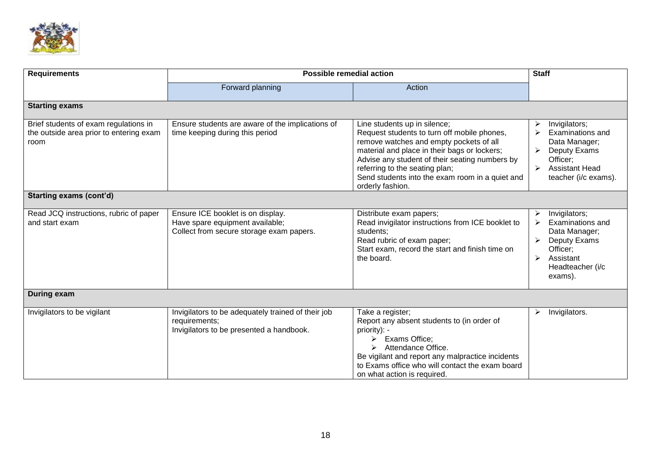

| <b>Requirements</b>                                                                      | <b>Possible remedial action</b>                                                                                  |                                                                                                                                                                                                                                                                                                                                   | <b>Staff</b>                                                                                                                         |  |
|------------------------------------------------------------------------------------------|------------------------------------------------------------------------------------------------------------------|-----------------------------------------------------------------------------------------------------------------------------------------------------------------------------------------------------------------------------------------------------------------------------------------------------------------------------------|--------------------------------------------------------------------------------------------------------------------------------------|--|
|                                                                                          | Forward planning                                                                                                 | Action                                                                                                                                                                                                                                                                                                                            |                                                                                                                                      |  |
| <b>Starting exams</b>                                                                    |                                                                                                                  |                                                                                                                                                                                                                                                                                                                                   |                                                                                                                                      |  |
| Brief students of exam regulations in<br>the outside area prior to entering exam<br>room | Ensure students are aware of the implications of<br>time keeping during this period                              | Line students up in silence;<br>Request students to turn off mobile phones,<br>remove watches and empty pockets of all<br>material and place in their bags or lockers;<br>Advise any student of their seating numbers by<br>referring to the seating plan;<br>Send students into the exam room in a quiet and<br>orderly fashion. | Invigilators;<br>➤<br>Examinations and<br>Data Manager;<br>Deputy Exams<br>Officer;<br><b>Assistant Head</b><br>teacher (i/c exams). |  |
| <b>Starting exams (cont'd)</b>                                                           |                                                                                                                  |                                                                                                                                                                                                                                                                                                                                   |                                                                                                                                      |  |
| Read JCQ instructions, rubric of paper<br>and start exam                                 | Ensure ICE booklet is on display.<br>Have spare equipment available;<br>Collect from secure storage exam papers. | Distribute exam papers;<br>Read invigilator instructions from ICE booklet to<br>students;<br>Read rubric of exam paper;<br>Start exam, record the start and finish time on<br>the board.                                                                                                                                          | Invigilators;<br>➤<br>Examinations and<br>Data Manager;<br>Deputy Exams<br>Officer;<br>Assistant<br>Headteacher (i/c<br>exams).      |  |
| <b>During exam</b>                                                                       |                                                                                                                  |                                                                                                                                                                                                                                                                                                                                   |                                                                                                                                      |  |
| Invigilators to be vigilant                                                              | Invigilators to be adequately trained of their job<br>requirements;<br>Invigilators to be presented a handbook.  | Take a register;<br>Report any absent students to (in order of<br>priority): -<br>Exams Office;<br>⋗<br>Attendance Office.<br>⋗<br>Be vigilant and report any malpractice incidents<br>to Exams office who will contact the exam board<br>on what action is required.                                                             | Invigilators.<br>➤                                                                                                                   |  |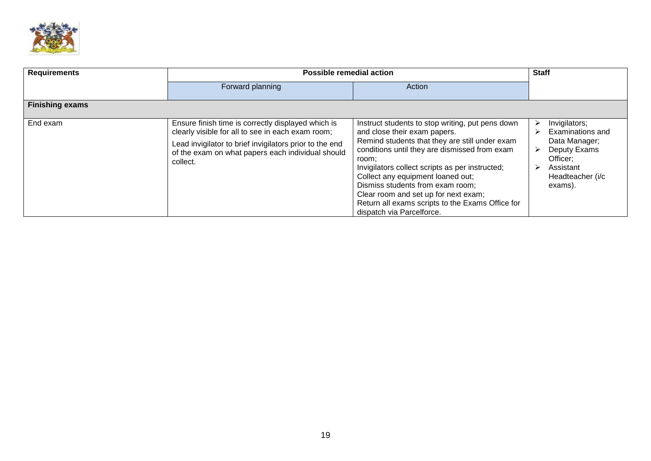

| <b>Requirements</b>    | <b>Possible remedial action</b>                                                                                                                                                                                                     | <b>Staff</b>                                                                                                                                                                                                                                                                                                                                                                                                                                      |                                                                                                                                        |
|------------------------|-------------------------------------------------------------------------------------------------------------------------------------------------------------------------------------------------------------------------------------|---------------------------------------------------------------------------------------------------------------------------------------------------------------------------------------------------------------------------------------------------------------------------------------------------------------------------------------------------------------------------------------------------------------------------------------------------|----------------------------------------------------------------------------------------------------------------------------------------|
|                        | Forward planning                                                                                                                                                                                                                    | Action                                                                                                                                                                                                                                                                                                                                                                                                                                            |                                                                                                                                        |
| <b>Finishing exams</b> |                                                                                                                                                                                                                                     |                                                                                                                                                                                                                                                                                                                                                                                                                                                   |                                                                                                                                        |
| End exam               | Ensure finish time is correctly displayed which is<br>clearly visible for all to see in each exam room;<br>Lead invigilator to brief invigilators prior to the end<br>of the exam on what papers each individual should<br>collect. | Instruct students to stop writing, put pens down<br>and close their exam papers.<br>Remind students that they are still under exam<br>conditions until they are dismissed from exam<br>room;<br>Invigilators collect scripts as per instructed;<br>Collect any equipment loaned out;<br>Dismiss students from exam room;<br>Clear room and set up for next exam;<br>Return all exams scripts to the Exams Office for<br>dispatch via Parcelforce. | Invigilators;<br><b>Examinations and</b><br>Data Manager;<br>Deputy Exams<br>Officer:<br>Assistant<br>➤<br>Headteacher (i/c<br>exams). |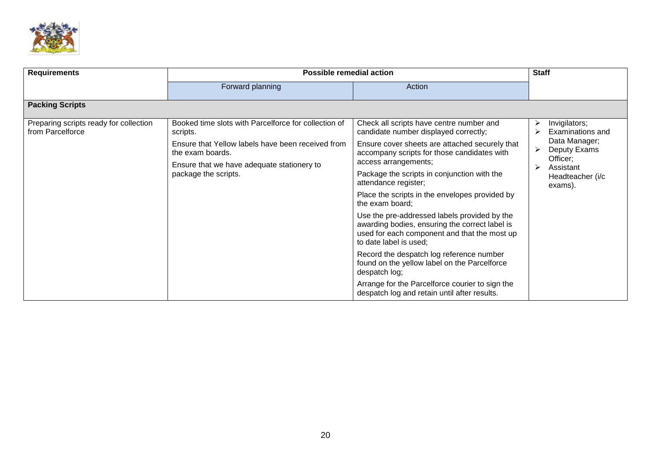

| <b>Requirements</b>                                        | <b>Possible remedial action</b>                                                                                                                                                                                 |                                                                                                                                                                                                                                                                                                                                                                                                                                                                                                                                                                                                                                | <b>Staff</b>                                                                                                                              |  |
|------------------------------------------------------------|-----------------------------------------------------------------------------------------------------------------------------------------------------------------------------------------------------------------|--------------------------------------------------------------------------------------------------------------------------------------------------------------------------------------------------------------------------------------------------------------------------------------------------------------------------------------------------------------------------------------------------------------------------------------------------------------------------------------------------------------------------------------------------------------------------------------------------------------------------------|-------------------------------------------------------------------------------------------------------------------------------------------|--|
|                                                            | Forward planning                                                                                                                                                                                                | Action                                                                                                                                                                                                                                                                                                                                                                                                                                                                                                                                                                                                                         |                                                                                                                                           |  |
| <b>Packing Scripts</b>                                     |                                                                                                                                                                                                                 |                                                                                                                                                                                                                                                                                                                                                                                                                                                                                                                                                                                                                                |                                                                                                                                           |  |
| Preparing scripts ready for collection<br>from Parcelforce | Booked time slots with Parcelforce for collection of<br>scripts.<br>Ensure that Yellow labels have been received from<br>the exam boards.<br>Ensure that we have adequate stationery to<br>package the scripts. | Check all scripts have centre number and<br>candidate number displayed correctly;<br>Ensure cover sheets are attached securely that<br>accompany scripts for those candidates with<br>access arrangements;<br>Package the scripts in conjunction with the<br>attendance register;<br>Place the scripts in the envelopes provided by<br>the exam board;<br>Use the pre-addressed labels provided by the<br>awarding bodies, ensuring the correct label is<br>used for each component and that the most up<br>to date label is used;<br>Record the despatch log reference number<br>found on the yellow label on the Parcelforce | Invigilators;<br>➤<br>Examinations and<br>Data Manager;<br>Deputy Exams<br>➤<br>Officer;<br>↘<br>Assistant<br>Headteacher (i/c<br>exams). |  |
|                                                            |                                                                                                                                                                                                                 | despatch log;<br>Arrange for the Parcelforce courier to sign the<br>despatch log and retain until after results.                                                                                                                                                                                                                                                                                                                                                                                                                                                                                                               |                                                                                                                                           |  |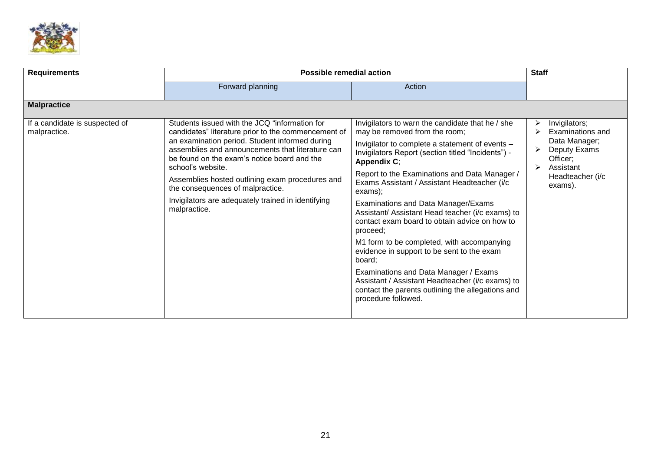

| <b>Requirements</b>                            | <b>Possible remedial action</b>                                                                                                                                                                                                                                                                                                                                                                                                             |                                                                                                                                                                                                                                                                                                                                                                                                                                                                                                                                                                                                                                                                                                                                                                     | <b>Staff</b>                                                                                                                    |
|------------------------------------------------|---------------------------------------------------------------------------------------------------------------------------------------------------------------------------------------------------------------------------------------------------------------------------------------------------------------------------------------------------------------------------------------------------------------------------------------------|---------------------------------------------------------------------------------------------------------------------------------------------------------------------------------------------------------------------------------------------------------------------------------------------------------------------------------------------------------------------------------------------------------------------------------------------------------------------------------------------------------------------------------------------------------------------------------------------------------------------------------------------------------------------------------------------------------------------------------------------------------------------|---------------------------------------------------------------------------------------------------------------------------------|
|                                                | Forward planning                                                                                                                                                                                                                                                                                                                                                                                                                            | Action                                                                                                                                                                                                                                                                                                                                                                                                                                                                                                                                                                                                                                                                                                                                                              |                                                                                                                                 |
| <b>Malpractice</b>                             |                                                                                                                                                                                                                                                                                                                                                                                                                                             |                                                                                                                                                                                                                                                                                                                                                                                                                                                                                                                                                                                                                                                                                                                                                                     |                                                                                                                                 |
| If a candidate is suspected of<br>malpractice. | Students issued with the JCQ "information for<br>candidates" literature prior to the commencement of<br>an examination period. Student informed during<br>assemblies and announcements that literature can<br>be found on the exam's notice board and the<br>school's website.<br>Assemblies hosted outlining exam procedures and<br>the consequences of malpractice.<br>Invigilators are adequately trained in identifying<br>malpractice. | Invigilators to warn the candidate that he / she<br>may be removed from the room;<br>Invigilator to complete a statement of events -<br>Invigilators Report (section titled "Incidents") -<br><b>Appendix C;</b><br>Report to the Examinations and Data Manager /<br>Exams Assistant / Assistant Headteacher (i/c<br>exams);<br>Examinations and Data Manager/Exams<br>Assistant/ Assistant Head teacher (i/c exams) to<br>contact exam board to obtain advice on how to<br>proceed;<br>M1 form to be completed, with accompanying<br>evidence in support to be sent to the exam<br>board;<br>Examinations and Data Manager / Exams<br>Assistant / Assistant Headteacher (i/c exams) to<br>contact the parents outlining the allegations and<br>procedure followed. | Invigilators;<br>Examinations and<br>Data Manager;<br>Deputy Exams<br>Officer;<br>Assistant<br>⋗<br>Headteacher (i/c<br>exams). |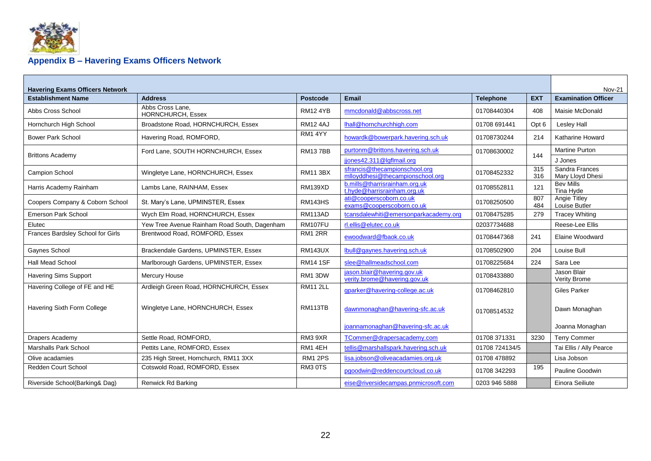

## **Appendix B – Havering Exams Officers Network**

<span id="page-23-0"></span>

| <b>Havering Exams Officers Network</b> |                                              |                 |                                                                   |                  |                  | <b>Nov-21</b>                      |
|----------------------------------------|----------------------------------------------|-----------------|-------------------------------------------------------------------|------------------|------------------|------------------------------------|
| <b>Establishment Name</b>              | <b>Address</b>                               | <b>Postcode</b> | Email                                                             | <b>Telephone</b> | <b>EXT</b>       | <b>Examination Officer</b>         |
| Abbs Cross School                      | Abbs Cross Lane.<br><b>HORNCHURCH, Essex</b> | <b>RM12 4YB</b> | mmcdonald@abbscross.net                                           | 01708440304      | 408              | Maisie McDonald                    |
| Hornchurch High School                 | Broadstone Road, HORNCHURCH, Essex           | <b>RM12 4AJ</b> | lhall@hornchurchhigh.com                                          | 01708 691441     | Opt <sub>6</sub> | Lesley Hall                        |
| <b>Bower Park School</b>               | Havering Road, ROMFORD,                      | RM1 4YY         | howardk@bowerpark.havering.sch.uk                                 | 01708730244      | 214              | Katharine Howard                   |
| <b>Brittons Academy</b>                | Ford Lane, SOUTH HORNCHURCH, Essex           | <b>RM137BB</b>  | purtonm@brittons.havering.sch.uk                                  | 01708630002      | 144              | <b>Martine Purton</b>              |
|                                        |                                              |                 | jiones42.311@lgflmail.org                                         |                  |                  | J Jones                            |
| Campion School                         | Wingletye Lane, HORNCHURCH, Essex            | <b>RM11 3BX</b> | sfrancis@thecampionschool.org<br>mlloyddhesi@thecampionschool.org | 01708452332      | 315<br>316       | Sandra Frances<br>Mary Lloyd Dhesi |
| Harris Academy Rainham                 | Lambs Lane, RAINHAM, Essex                   | <b>RM139XD</b>  | b.mills@tharrisrainham.org.uk<br>t.hyde@harrisrainham.org.uk      | 01708552811      | 121              | <b>Bev Mills</b><br>Tina Hyde      |
| Coopers Company & Coborn School        | St. Mary's Lane, UPMINSTER, Essex            | <b>RM143HS</b>  | ati@cooperscoborn.co.uk<br>exams@cooperscoborn.co.uk              | 01708250500      | 807<br>484       | Angie Titley<br>Louise Butler      |
| Emerson Park School                    | Wych Elm Road, HORNCHURCH, Essex             | RM113AD         | tcansdalewhiti@emersonparkacademy.org                             | 01708475285      | 279              | <b>Tracey Whiting</b>              |
| Elutec                                 | Yew Tree Avenue Rainham Road South, Dagenham | <b>RM107FU</b>  | rl.ellis@elutec.co.uk                                             | 02037734688      |                  | Reese-Lee Ellis                    |
| Frances Bardsley School for Girls      | Brentwood Road, ROMFORD, Essex               | RM1 2RR         | ewoodward@fbaok.co.uk                                             | 01708447368      | 241              | Elaine Woodward                    |
| Gaynes School                          | Brackendale Gardens, UPMINSTER, Essex        | <b>RM143UX</b>  | Ibull@gaynes.havering.sch.uk                                      | 01708502900      | 204              | Louise Bull                        |
| <b>Hall Mead School</b>                | Marlborough Gardens, UPMINSTER, Essex        | <b>RM14 1SF</b> | slee@hallmeadschool.com                                           | 01708225684      | 224              | Sara Lee                           |
| <b>Havering Sims Support</b>           | Mercury House                                | RM1 3DW         | jason.blair@havering.gov.uk<br>verity.brome@havering.gov.uk       | 01708433880      |                  | Jason Blair<br>Verity Brome        |
| Havering College of FE and HE          | Ardleigh Green Road, HORNCHURCH, Essex       | <b>RM11 2LL</b> | gparker@havering-college.ac.uk                                    | 01708462810      |                  | <b>Giles Parker</b>                |
| Havering Sixth Form College            | Wingletye Lane, HORNCHURCH, Essex            | <b>RM113TB</b>  | dawnmonaghan@havering-sfc.ac.uk                                   | 01708514532      |                  | Dawn Monaghan                      |
|                                        |                                              |                 | joannamonaghan@havering-sfc.ac.uk                                 |                  |                  | Joanna Monaghan                    |
| Drapers Academy                        | Settle Road, ROMFORD.                        | RM3 9XR         | TCommer@drapersacademy.com                                        | 01708 371331     | 3230             | <b>Terry Commer</b>                |
| Marshalls Park School                  | Pettits Lane, ROMFORD, Essex                 | RM1 4EH         | tellis@marshallspark.havering.sch.uk                              | 01708 724134/5   |                  | Tai Ellis / Ally Pearce            |
| Olive acadamies                        | 235 High Street, Hornchurch, RM11 3XX        | <b>RM1 2PS</b>  | lisa.jobson@oliveacadamies.org.uk                                 | 01708 478892     |                  | Lisa Jobson                        |
| Redden Court School                    | Cotswold Road, ROMFORD, Essex                | RM3 0TS         | pgoodwin@reddencourtcloud.co.uk                                   | 01708 342293     | 195              | Pauline Goodwin                    |
| Riverside School(Barking& Dag)         | Renwick Rd Barking                           |                 | eise@riversidecampas.pnmicrosoft.com                              | 0203 946 5888    |                  | Einora Seiliute                    |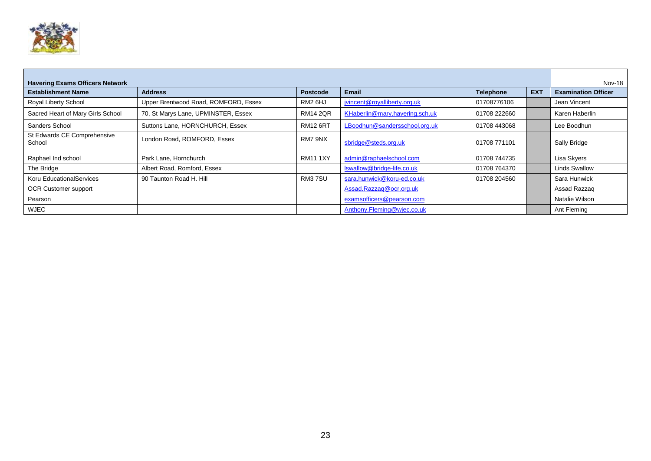

| <b>Havering Exams Officers Network</b> |                                      |                     |                                |                  |            |                            |
|----------------------------------------|--------------------------------------|---------------------|--------------------------------|------------------|------------|----------------------------|
| <b>Establishment Name</b>              | <b>Address</b>                       | <b>Postcode</b>     | <b>Email</b>                   | <b>Telephone</b> | <b>EXT</b> | <b>Examination Officer</b> |
| Royal Liberty School                   | Upper Brentwood Road, ROMFORD, Essex | RM <sub>2</sub> 6HJ | jvincent@royalliberty.org.uk   | 01708776106      |            | Jean Vincent               |
| Sacred Heart of Mary Girls School      | 70, St Marys Lane, UPMINSTER, Essex  | <b>RM14 2QR</b>     | KHaberlin@mary.havering.sch.uk | 01708 222660     |            | Karen Haberlin             |
| Sanders School                         | Suttons Lane, HORNCHURCH, Essex      | <b>RM12 6RT</b>     | LBoodhun@sandersschool.org.uk  | 01708 443068     |            | Lee Boodhun                |
| St Edwards CE Comprehensive<br>School  | London Road, ROMFORD, Essex          | RM7 9NX             | sbridge@steds.org.uk           | 01708 771101     |            | Sally Bridge               |
| Raphael Ind school                     | Park Lane, Hornchurch                | <b>RM11 1XY</b>     | admin@raphaelschool.com        | 01708 744735     |            | Lisa Skyers                |
| The Bridge                             | Albert Road, Romford, Essex          |                     | Iswallow@bridge-life.co.uk     | 01708 764370     |            | <b>Linds Swallow</b>       |
| Koru EducationalServices               | 90 Taunton Road H. Hill              | RM37SU              | sara.hunwick@koru-ed.co.uk     | 01708 204560     |            | Sara Hunwick               |
| OCR Customer support                   |                                      |                     | Assad.Razzaq@ocr.org.uk        |                  |            | Assad Razzag               |
| Pearson                                |                                      |                     | examsofficers@pearson.com      |                  |            | Natalie Wilson             |
| <b>WJEC</b>                            |                                      |                     | Anthony.Fleming@wjec.co.uk     |                  |            | Ant Fleming                |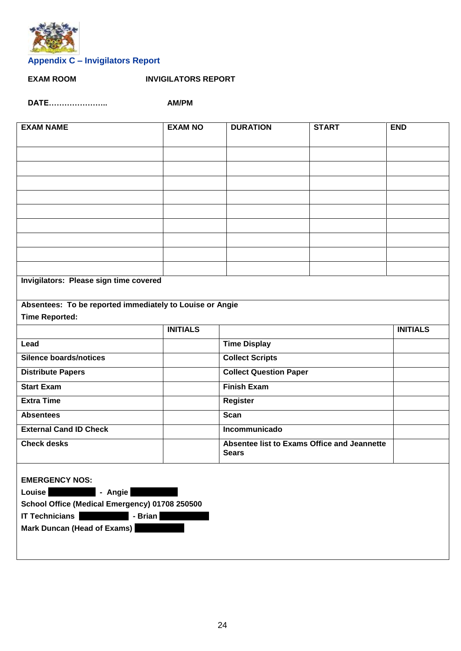

## <span id="page-25-0"></span>**Appendix C – Invigilators Report**

**EXAM ROOM INVIGILATORS REPORT**

**DATE………………….. AM/PM**

| <b>EXAM NAME</b>                                         | <b>EXAM NO</b>  | <b>DURATION</b>                                             | <b>START</b> | <b>END</b>      |  |  |  |  |  |
|----------------------------------------------------------|-----------------|-------------------------------------------------------------|--------------|-----------------|--|--|--|--|--|
|                                                          |                 |                                                             |              |                 |  |  |  |  |  |
|                                                          |                 |                                                             |              |                 |  |  |  |  |  |
|                                                          |                 |                                                             |              |                 |  |  |  |  |  |
|                                                          |                 |                                                             |              |                 |  |  |  |  |  |
|                                                          |                 |                                                             |              |                 |  |  |  |  |  |
|                                                          |                 |                                                             |              |                 |  |  |  |  |  |
|                                                          |                 |                                                             |              |                 |  |  |  |  |  |
|                                                          |                 |                                                             |              |                 |  |  |  |  |  |
|                                                          |                 |                                                             |              |                 |  |  |  |  |  |
|                                                          |                 |                                                             |              |                 |  |  |  |  |  |
| Invigilators: Please sign time covered                   |                 |                                                             |              |                 |  |  |  |  |  |
|                                                          |                 |                                                             |              |                 |  |  |  |  |  |
| Absentees: To be reported immediately to Louise or Angie |                 |                                                             |              |                 |  |  |  |  |  |
| <b>Time Reported:</b>                                    |                 |                                                             |              |                 |  |  |  |  |  |
|                                                          | <b>INITIALS</b> |                                                             |              | <b>INITIALS</b> |  |  |  |  |  |
| Lead                                                     |                 | <b>Time Display</b>                                         |              |                 |  |  |  |  |  |
| <b>Silence boards/notices</b>                            |                 | <b>Collect Scripts</b>                                      |              |                 |  |  |  |  |  |
| <b>Distribute Papers</b>                                 |                 | <b>Collect Question Paper</b>                               |              |                 |  |  |  |  |  |
| <b>Start Exam</b>                                        |                 | <b>Finish Exam</b>                                          |              |                 |  |  |  |  |  |
| <b>Extra Time</b>                                        |                 | <b>Register</b>                                             |              |                 |  |  |  |  |  |
| <b>Absentees</b>                                         |                 | <b>Scan</b>                                                 |              |                 |  |  |  |  |  |
| <b>External Cand ID Check</b>                            |                 | Incommunicado                                               |              |                 |  |  |  |  |  |
| <b>Check desks</b>                                       |                 | Absentee list to Exams Office and Jeannette<br><b>Sears</b> |              |                 |  |  |  |  |  |
| <b>EMERGENCY NOS:</b>                                    |                 |                                                             |              |                 |  |  |  |  |  |
| - Angie<br><b>Louise</b>                                 |                 |                                                             |              |                 |  |  |  |  |  |
| School Office (Medical Emergency) 01708 250500           |                 |                                                             |              |                 |  |  |  |  |  |
| <b>IT Technicians</b><br>- Brian                         |                 |                                                             |              |                 |  |  |  |  |  |
| Mark Duncan (Head of Exams)                              |                 |                                                             |              |                 |  |  |  |  |  |
|                                                          |                 |                                                             |              |                 |  |  |  |  |  |
|                                                          |                 |                                                             |              |                 |  |  |  |  |  |